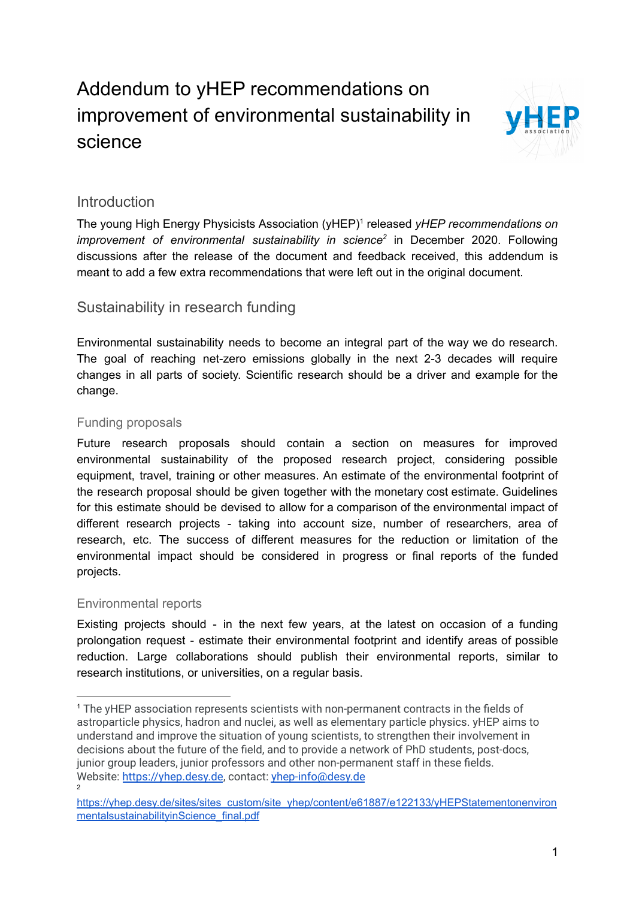# Addendum to yHEP recommendations on improvement of environmental sustainability in science



# **Introduction**

The young High Energy Physicists Association (yHEP)<sup>1</sup> released *yHEP recommendations on improvement* of *environmental sustainability in science*<sup>2</sup> in December 2020. Following discussions after the release of the document and feedback received, this addendum is meant to add a few extra recommendations that were left out in the original document.

# Sustainability in research funding

Environmental sustainability needs to become an integral part of the way we do research. The goal of reaching net-zero emissions globally in the next 2-3 decades will require changes in all parts of society. Scientific research should be a driver and example for the change.

## Funding proposals

Future research proposals should contain a section on measures for improved environmental sustainability of the proposed research project, considering possible equipment, travel, training or other measures. An estimate of the environmental footprint of the research proposal should be given together with the monetary cost estimate. Guidelines for this estimate should be devised to allow for a comparison of the environmental impact of different research projects - taking into account size, number of researchers, area of research, etc. The success of different measures for the reduction or limitation of the environmental impact should be considered in progress or final reports of the funded projects.

## Environmental reports

Existing projects should - in the next few years, at the latest on occasion of a funding prolongation request - estimate their environmental footprint and identify areas of possible reduction. Large collaborations should publish their environmental reports, similar to research institutions, or universities, on a regular basis.

 $\overline{2}$ <sup>1</sup> The yHEP association represents scientists with non-permanent contracts in the fields of astroparticle physics, hadron and nuclei, as well as elementary particle physics. yHEP aims to understand and improve the situation of young scientists, to strengthen their involvement in decisions about the future of the field, and to provide a network of PhD students, post-docs, junior group leaders, junior professors and other non-permanent staff in these fields. Website: <https://yhep.desy.de>, contact: [yhep-info@desy.de](mailto:yhep-info@desy.de)

[https://yhep.desy.de/sites/sites\\_custom/site\\_yhep/content/e61887/e122133/yHEPStatementonenviron](https://yhep.desy.de/sites/sites_custom/site_yhep/content/e61887/e122133/yHEPStatementonenvironmentalsustainabilityinScience_final.pdf) [mentalsustainabilityinScience\\_final.pdf](https://yhep.desy.de/sites/sites_custom/site_yhep/content/e61887/e122133/yHEPStatementonenvironmentalsustainabilityinScience_final.pdf)